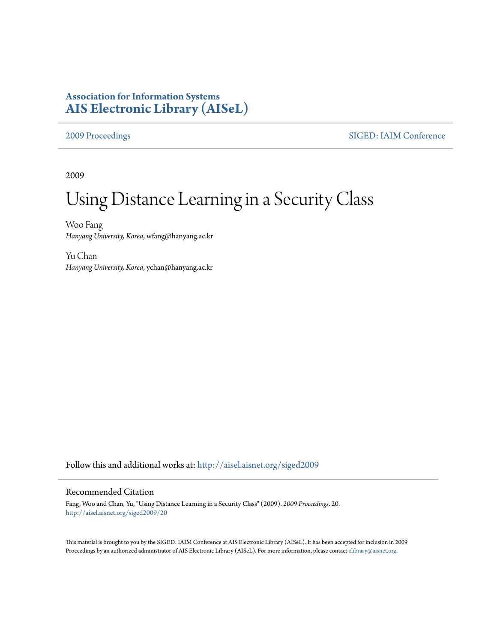## **Association for Information Systems [AIS Electronic Library \(AISeL\)](http://aisel.aisnet.org?utm_source=aisel.aisnet.org%2Fsiged2009%2F20&utm_medium=PDF&utm_campaign=PDFCoverPages)**

[2009 Proceedings](http://aisel.aisnet.org/siged2009?utm_source=aisel.aisnet.org%2Fsiged2009%2F20&utm_medium=PDF&utm_campaign=PDFCoverPages) [SIGED: IAIM Conference](http://aisel.aisnet.org/siged?utm_source=aisel.aisnet.org%2Fsiged2009%2F20&utm_medium=PDF&utm_campaign=PDFCoverPages)

2009

# Using Distance Learning in a Security Class

Woo Fang *Hanyang University, Korea*, wfang@hanyang.ac.kr

Yu Chan *Hanyang University, Korea*, ychan@hanyang.ac.kr

Follow this and additional works at: [http://aisel.aisnet.org/siged2009](http://aisel.aisnet.org/siged2009?utm_source=aisel.aisnet.org%2Fsiged2009%2F20&utm_medium=PDF&utm_campaign=PDFCoverPages)

#### Recommended Citation

Fang, Woo and Chan, Yu, "Using Distance Learning in a Security Class" (2009). *2009 Proceedings*. 20. [http://aisel.aisnet.org/siged2009/20](http://aisel.aisnet.org/siged2009/20?utm_source=aisel.aisnet.org%2Fsiged2009%2F20&utm_medium=PDF&utm_campaign=PDFCoverPages)

This material is brought to you by the SIGED: IAIM Conference at AIS Electronic Library (AISeL). It has been accepted for inclusion in 2009 Proceedings by an authorized administrator of AIS Electronic Library (AISeL). For more information, please contact [elibrary@aisnet.org](mailto:elibrary@aisnet.org%3E).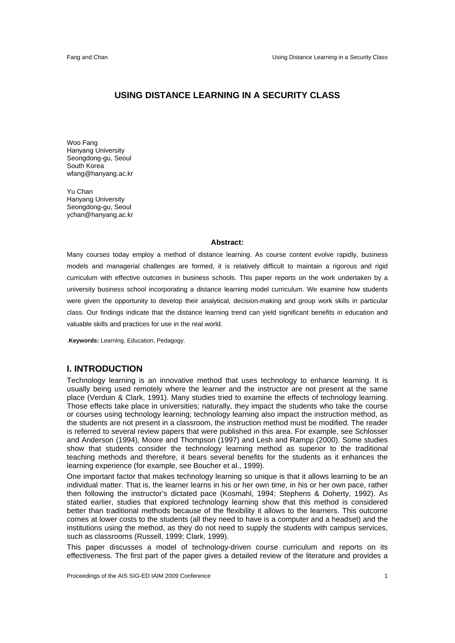#### **USING DISTANCE LEARNING IN A SECURITY CLASS**

Woo Fang Hanyang University Seongdong-gu, Seoul South Korea wfang@hanyang.ac.kr

Yu Chan Hanyang University Seongdong-gu, Seoul ychan@hanyang.ac.kr

#### **Abstract:**

Many courses today employ a method of distance learning. As course content evolve rapidly, business models and managerial challenges are formed, it is relatively difficult to maintain a rigorous and rigid curriculum with effective outcomes in business schools. This paper reports on the work undertaken by a university business school incorporating a distance learning model curriculum. We examine how students were given the opportunity to develop their analytical, decision-making and group work skills in particular class. Our findings indicate that the distance learning trend can yield significant benefits in education and valuable skills and practices for use in the real world.

.**Keywords:** Learning, Education, Pedagogy.

#### **I. INTRODUCTION**

Technology learning is an innovative method that uses technology to enhance learning. It is usually being used remotely where the learner and the instructor are not present at the same place (Verduin & Clark, 1991). Many studies tried to examine the effects of technology learning. Those effects take place in universities; naturally, they impact the students who take the course or courses using technology learning; technology learning also impact the instruction method, as the students are not present in a classroom, the instruction method must be modified. The reader is referred to several review papers that were published in this area. For example, see Schlosser and Anderson (1994), Moore and Thompson (1997) and Lesh and Rampp (2000). Some studies show that students consider the technology learning method as superior to the traditional teaching methods and therefore, it bears several benefits for the students as it enhances the learning experience (for example, see Boucher et al., 1999).

One important factor that makes technology learning so unique is that it allows learning to be an individual matter. That is, the learner learns in his or her own time, in his or her own pace, rather then following the instructor's dictated pace (Kosmahl, 1994; Stephens & Doherty, 1992). As stated earlier, studies that explored technology learning show that this method is considered better than traditional methods because of the flexibility it allows to the learners. This outcome comes at lower costs to the students (all they need to have is a computer and a headset) and the institutions using the method, as they do not need to supply the students with campus services, such as classrooms (Russell, 1999; Clark, 1999).

This paper discusses a model of technology-driven course curriculum and reports on its effectiveness. The first part of the paper gives a detailed review of the literature and provides a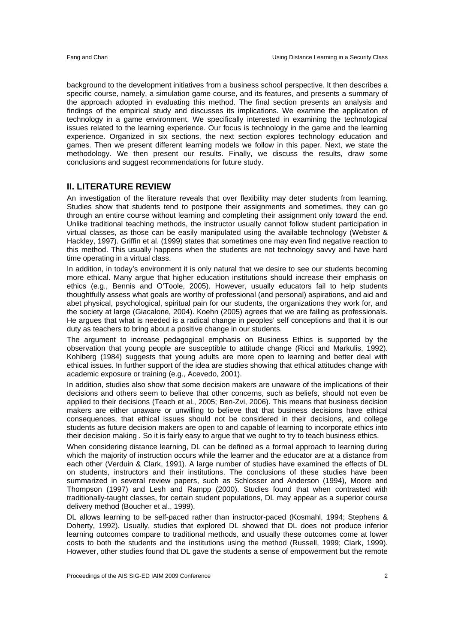background to the development initiatives from a business school perspective. It then describes a specific course, namely, a simulation game course, and its features, and presents a summary of the approach adopted in evaluating this method. The final section presents an analysis and findings of the empirical study and discusses its implications. We examine the application of technology in a game environment. We specifically interested in examining the technological issues related to the learning experience. Our focus is technology in the game and the learning experience. Organized in six sections, the next section explores technology education and games. Then we present different learning models we follow in this paper. Next, we state the methodology. We then present our results. Finally, we discuss the results, draw some conclusions and suggest recommendations for future study.

#### **II. LITERATURE REVIEW**

An investigation of the literature reveals that over flexibility may deter students from learning. Studies show that students tend to postpone their assignments and sometimes, they can go through an entire course without learning and completing their assignment only toward the end. Unlike traditional teaching methods, the instructor usually cannot follow student participation in virtual classes, as those can be easily manipulated using the available technology (Webster & Hackley, 1997). Griffin et al. (1999) states that sometimes one may even find negative reaction to this method. This usually happens when the students are not technology savvy and have hard time operating in a virtual class.

In addition, in today's environment it is only natural that we desire to see our students becoming more ethical. Many argue that higher education institutions should increase their emphasis on ethics (e.g., Bennis and O'Toole, 2005). However, usually educators fail to help students thoughtfully assess what goals are worthy of professional (and personal) aspirations, and aid and abet physical, psychological, spiritual pain for our students, the organizations they work for, and the society at large (Giacalone, 2004). Koehn (2005) agrees that we are failing as professionals. He argues that what is needed is a radical change in peoples' self conceptions and that it is our duty as teachers to bring about a positive change in our students.

The argument to increase pedagogical emphasis on Business Ethics is supported by the observation that young people are susceptible to attitude change (Ricci and Markulis, 1992). Kohlberg (1984) suggests that young adults are more open to learning and better deal with ethical issues. In further support of the idea are studies showing that ethical attitudes change with academic exposure or training (e.g., Acevedo, 2001).

In addition, studies also show that some decision makers are unaware of the implications of their decisions and others seem to believe that other concerns, such as beliefs, should not even be applied to their decisions (Teach et al., 2005; Ben-Zvi, 2006). This means that business decision makers are either unaware or unwilling to believe that that business decisions have ethical consequences, that ethical issues should not be considered in their decisions, and college students as future decision makers are open to and capable of learning to incorporate ethics into their decision making . So it is fairly easy to argue that we ought to try to teach business ethics.

When considering distance learning, DL can be defined as a formal approach to learning during which the majority of instruction occurs while the learner and the educator are at a distance from each other (Verduin & Clark, 1991). A large number of studies have examined the effects of DL on students, instructors and their institutions. The conclusions of these studies have been summarized in several review papers, such as Schlosser and Anderson (1994), Moore and Thompson (1997) and Lesh and Rampp (2000). Studies found that when contrasted with traditionally-taught classes, for certain student populations, DL may appear as a superior course delivery method (Boucher et al., 1999).

DL allows learning to be self-paced rather than instructor-paced (Kosmahl, 1994; Stephens & Doherty, 1992). Usually, studies that explored DL showed that DL does not produce inferior learning outcomes compare to traditional methods, and usually these outcomes come at lower costs to both the students and the institutions using the method (Russell, 1999; Clark, 1999). However, other studies found that DL gave the students a sense of empowerment but the remote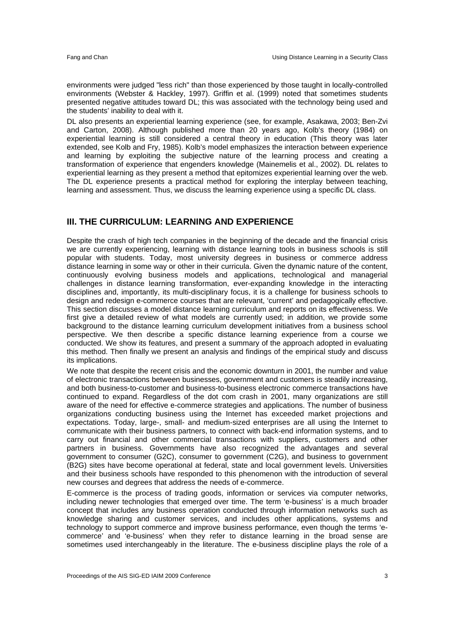environments were judged "less rich" than those experienced by those taught in locally-controlled environments (Webster & Hackley, 1997). Griffin et al. (1999) noted that sometimes students presented negative attitudes toward DL; this was associated with the technology being used and the students' inability to deal with it.

DL also presents an experiential learning experience (see, for example, Asakawa, 2003; Ben-Zvi and Carton, 2008). Although published more than 20 years ago, Kolb's theory (1984) on experiential learning is still considered a central theory in education (This theory was later extended, see Kolb and Fry, 1985). Kolb's model emphasizes the interaction between experience and learning by exploiting the subjective nature of the learning process and creating a transformation of experience that engenders knowledge (Mainemelis et al., 2002). DL relates to experiential learning as they present a method that epitomizes experiential learning over the web. The DL experience presents a practical method for exploring the interplay between teaching, learning and assessment. Thus, we discuss the learning experience using a specific DL class.

#### **III. THE CURRICULUM: LEARNING AND EXPERIENCE**

Despite the crash of high tech companies in the beginning of the decade and the financial crisis we are currently experiencing, learning with distance learning tools in business schools is still popular with students. Today, most university degrees in business or commerce address distance learning in some way or other in their curricula. Given the dynamic nature of the content, continuously evolving business models and applications, technological and managerial challenges in distance learning transformation, ever-expanding knowledge in the interacting disciplines and, importantly, its multi-disciplinary focus, it is a challenge for business schools to design and redesign e-commerce courses that are relevant, 'current' and pedagogically effective. This section discusses a model distance learning curriculum and reports on its effectiveness. We first give a detailed review of what models are currently used; in addition, we provide some background to the distance learning curriculum development initiatives from a business school perspective. We then describe a specific distance learning experience from a course we conducted. We show its features, and present a summary of the approach adopted in evaluating this method. Then finally we present an analysis and findings of the empirical study and discuss its implications.

We note that despite the recent crisis and the economic downturn in 2001, the number and value of electronic transactions between businesses, government and customers is steadily increasing, and both business-to-customer and business-to-business electronic commerce transactions have continued to expand. Regardless of the dot com crash in 2001, many organizations are still aware of the need for effective e-commerce strategies and applications. The number of business organizations conducting business using the Internet has exceeded market projections and expectations. Today, large-, small- and medium-sized enterprises are all using the Internet to communicate with their business partners, to connect with back-end information systems, and to carry out financial and other commercial transactions with suppliers, customers and other partners in business. Governments have also recognized the advantages and several government to consumer (G2C), consumer to government (C2G), and business to government (B2G) sites have become operational at federal, state and local government levels. Universities and their business schools have responded to this phenomenon with the introduction of several new courses and degrees that address the needs of e-commerce.

E-commerce is the process of trading goods, information or services via computer networks, including newer technologies that emerged over time. The term 'e-business' is a much broader concept that includes any business operation conducted through information networks such as knowledge sharing and customer services, and includes other applications, systems and technology to support commerce and improve business performance, even though the terms 'ecommerce' and 'e-business' when they refer to distance learning in the broad sense are sometimes used interchangeably in the literature. The e-business discipline plays the role of a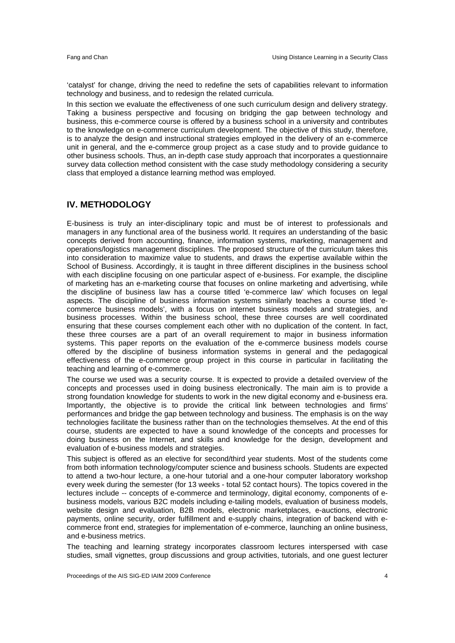'catalyst' for change, driving the need to redefine the sets of capabilities relevant to information technology and business, and to redesign the related curricula.

In this section we evaluate the effectiveness of one such curriculum design and delivery strategy. Taking a business perspective and focusing on bridging the gap between technology and business, this e-commerce course is offered by a business school in a university and contributes to the knowledge on e-commerce curriculum development. The objective of this study, therefore, is to analyze the design and instructional strategies employed in the delivery of an e-commerce unit in general, and the e-commerce group project as a case study and to provide guidance to other business schools. Thus, an in-depth case study approach that incorporates a questionnaire survey data collection method consistent with the case study methodology considering a security class that employed a distance learning method was employed.

#### **IV. METHODOLOGY**

E-business is truly an inter-disciplinary topic and must be of interest to professionals and managers in any functional area of the business world. It requires an understanding of the basic concepts derived from accounting, finance, information systems, marketing, management and operations/logistics management disciplines. The proposed structure of the curriculum takes this into consideration to maximize value to students, and draws the expertise available within the School of Business. Accordingly, it is taught in three different disciplines in the business school with each discipline focusing on one particular aspect of e-business. For example, the discipline of marketing has an e-marketing course that focuses on online marketing and advertising, while the discipline of business law has a course titled 'e-commerce law' which focuses on legal aspects. The discipline of business information systems similarly teaches a course titled 'ecommerce business models', with a focus on internet business models and strategies, and business processes. Within the business school, these three courses are well coordinated ensuring that these courses complement each other with no duplication of the content. In fact, these three courses are a part of an overall requirement to major in business information systems. This paper reports on the evaluation of the e-commerce business models course offered by the discipline of business information systems in general and the pedagogical effectiveness of the e-commerce group project in this course in particular in facilitating the teaching and learning of e-commerce.

The course we used was a security course. It is expected to provide a detailed overview of the concepts and processes used in doing business electronically. The main aim is to provide a strong foundation knowledge for students to work in the new digital economy and e-business era. Importantly, the objective is to provide the critical link between technologies and firms' performances and bridge the gap between technology and business. The emphasis is on the way technologies facilitate the business rather than on the technologies themselves. At the end of this course, students are expected to have a sound knowledge of the concepts and processes for doing business on the Internet, and skills and knowledge for the design, development and evaluation of e-business models and strategies.

This subject is offered as an elective for second/third year students. Most of the students come from both information technology/computer science and business schools. Students are expected to attend a two-hour lecture, a one-hour tutorial and a one-hour computer laboratory workshop every week during the semester (for 13 weeks - total 52 contact hours). The topics covered in the lectures include -- concepts of e-commerce and terminology, digital economy, components of ebusiness models, various B2C models including e-tailing models, evaluation of business models, website design and evaluation, B2B models, electronic marketplaces, e-auctions, electronic payments, online security, order fulfillment and e-supply chains, integration of backend with ecommerce front end, strategies for implementation of e-commerce, launching an online business, and e-business metrics.

The teaching and learning strategy incorporates classroom lectures interspersed with case studies, small vignettes, group discussions and group activities, tutorials, and one guest lecturer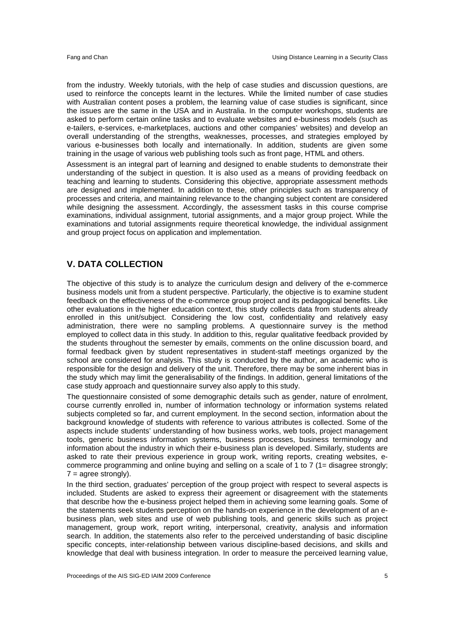from the industry. Weekly tutorials, with the help of case studies and discussion questions, are used to reinforce the concepts learnt in the lectures. While the limited number of case studies with Australian content poses a problem, the learning value of case studies is significant, since the issues are the same in the USA and in Australia. In the computer workshops, students are asked to perform certain online tasks and to evaluate websites and e-business models (such as e-tailers, e-services, e-marketplaces, auctions and other companies' websites) and develop an overall understanding of the strengths, weaknesses, processes, and strategies employed by various e-businesses both locally and internationally. In addition, students are given some training in the usage of various web publishing tools such as front page, HTML and others.

Assessment is an integral part of learning and designed to enable students to demonstrate their understanding of the subject in question. It is also used as a means of providing feedback on teaching and learning to students. Considering this objective, appropriate assessment methods are designed and implemented. In addition to these, other principles such as transparency of processes and criteria, and maintaining relevance to the changing subject content are considered while designing the assessment. Accordingly, the assessment tasks in this course comprise examinations, individual assignment, tutorial assignments, and a major group project. While the examinations and tutorial assignments require theoretical knowledge, the individual assignment and group project focus on application and implementation.

### **V. DATA COLLECTION**

The objective of this study is to analyze the curriculum design and delivery of the e-commerce business models unit from a student perspective. Particularly, the objective is to examine student feedback on the effectiveness of the e-commerce group project and its pedagogical benefits. Like other evaluations in the higher education context, this study collects data from students already enrolled in this unit/subject. Considering the low cost, confidentiality and relatively easy administration, there were no sampling problems. A questionnaire survey is the method employed to collect data in this study. In addition to this, regular qualitative feedback provided by the students throughout the semester by emails, comments on the online discussion board, and formal feedback given by student representatives in student-staff meetings organized by the school are considered for analysis. This study is conducted by the author, an academic who is responsible for the design and delivery of the unit. Therefore, there may be some inherent bias in the study which may limit the generalisability of the findings. In addition, general limitations of the case study approach and questionnaire survey also apply to this study.

The questionnaire consisted of some demographic details such as gender, nature of enrolment, course currently enrolled in, number of information technology or information systems related subjects completed so far, and current employment. In the second section, information about the background knowledge of students with reference to various attributes is collected. Some of the aspects include students' understanding of how business works, web tools, project management tools, generic business information systems, business processes, business terminology and information about the industry in which their e-business plan is developed. Similarly, students are asked to rate their previous experience in group work, writing reports, creating websites, ecommerce programming and online buying and selling on a scale of 1 to 7 (1= disagree strongly;  $7 = \text{agree strongly}.$ 

In the third section, graduates' perception of the group project with respect to several aspects is included. Students are asked to express their agreement or disagreement with the statements that describe how the e-business project helped them in achieving some learning goals. Some of the statements seek students perception on the hands-on experience in the development of an ebusiness plan, web sites and use of web publishing tools, and generic skills such as project management, group work, report writing, interpersonal, creativity, analysis and information search. In addition, the statements also refer to the perceived understanding of basic discipline specific concepts, inter-relationship between various discipline-based decisions, and skills and knowledge that deal with business integration. In order to measure the perceived learning value,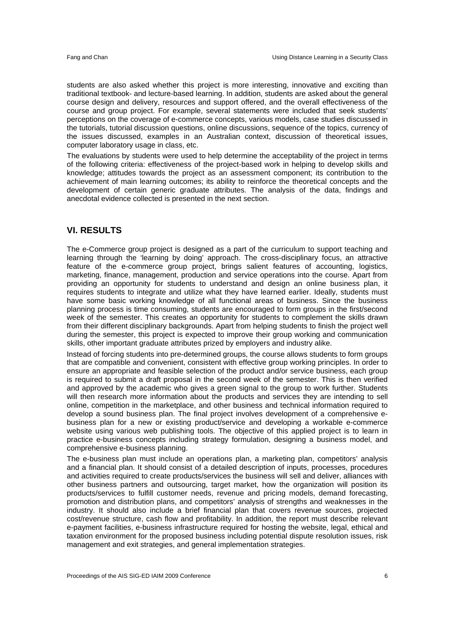students are also asked whether this project is more interesting, innovative and exciting than traditional textbook- and lecture-based learning. In addition, students are asked about the general course design and delivery, resources and support offered, and the overall effectiveness of the course and group project. For example, several statements were included that seek students' perceptions on the coverage of e-commerce concepts, various models, case studies discussed in the tutorials, tutorial discussion questions, online discussions, sequence of the topics, currency of the issues discussed, examples in an Australian context, discussion of theoretical issues, computer laboratory usage in class, etc.

The evaluations by students were used to help determine the acceptability of the project in terms of the following criteria: effectiveness of the project-based work in helping to develop skills and knowledge; attitudes towards the project as an assessment component; its contribution to the achievement of main learning outcomes; its ability to reinforce the theoretical concepts and the development of certain generic graduate attributes. The analysis of the data, findings and anecdotal evidence collected is presented in the next section.

#### **VI. RESULTS**

The e-Commerce group project is designed as a part of the curriculum to support teaching and learning through the 'learning by doing' approach. The cross-disciplinary focus, an attractive feature of the e-commerce group project, brings salient features of accounting, logistics, marketing, finance, management, production and service operations into the course. Apart from providing an opportunity for students to understand and design an online business plan, it requires students to integrate and utilize what they have learned earlier. Ideally, students must have some basic working knowledge of all functional areas of business. Since the business planning process is time consuming, students are encouraged to form groups in the first/second week of the semester. This creates an opportunity for students to complement the skills drawn from their different disciplinary backgrounds. Apart from helping students to finish the project well during the semester, this project is expected to improve their group working and communication skills, other important graduate attributes prized by employers and industry alike.

Instead of forcing students into pre-determined groups, the course allows students to form groups that are compatible and convenient, consistent with effective group working principles. In order to ensure an appropriate and feasible selection of the product and/or service business, each group is required to submit a draft proposal in the second week of the semester. This is then verified and approved by the academic who gives a green signal to the group to work further. Students will then research more information about the products and services they are intending to sell online, competition in the marketplace, and other business and technical information required to develop a sound business plan. The final project involves development of a comprehensive ebusiness plan for a new or existing product/service and developing a workable e-commerce website using various web publishing tools. The objective of this applied project is to learn in practice e-business concepts including strategy formulation, designing a business model, and comprehensive e-business planning.

The e-business plan must include an operations plan, a marketing plan, competitors' analysis and a financial plan. It should consist of a detailed description of inputs, processes, procedures and activities required to create products/services the business will sell and deliver, alliances with other business partners and outsourcing, target market, how the organization will position its products/services to fulfill customer needs, revenue and pricing models, demand forecasting, promotion and distribution plans, and competitors' analysis of strengths and weaknesses in the industry. It should also include a brief financial plan that covers revenue sources, projected cost/revenue structure, cash flow and profitability. In addition, the report must describe relevant e-payment facilities, e-business infrastructure required for hosting the website, legal, ethical and taxation environment for the proposed business including potential dispute resolution issues, risk management and exit strategies, and general implementation strategies.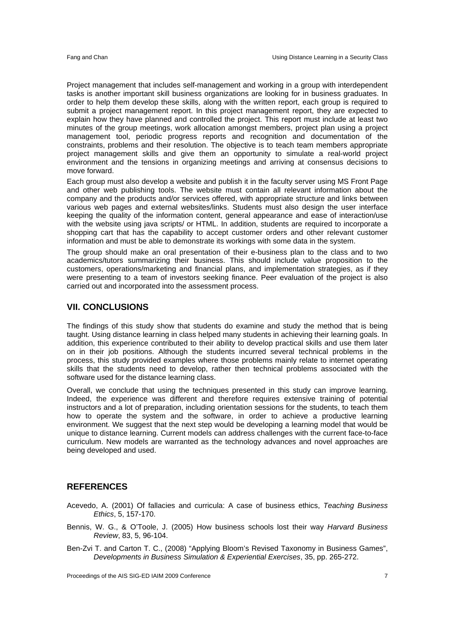Project management that includes self-management and working in a group with interdependent tasks is another important skill business organizations are looking for in business graduates. In order to help them develop these skills, along with the written report, each group is required to submit a project management report. In this project management report, they are expected to explain how they have planned and controlled the project. This report must include at least two minutes of the group meetings, work allocation amongst members, project plan using a project management tool, periodic progress reports and recognition and documentation of the constraints, problems and their resolution. The objective is to teach team members appropriate project management skills and give them an opportunity to simulate a real-world project environment and the tensions in organizing meetings and arriving at consensus decisions to move forward.

Each group must also develop a website and publish it in the faculty server using MS Front Page and other web publishing tools. The website must contain all relevant information about the company and the products and/or services offered, with appropriate structure and links between various web pages and external websites/links. Students must also design the user interface keeping the quality of the information content, general appearance and ease of interaction/use with the website using java scripts/ or HTML. In addition, students are required to incorporate a shopping cart that has the capability to accept customer orders and other relevant customer information and must be able to demonstrate its workings with some data in the system.

The group should make an oral presentation of their e-business plan to the class and to two academics/tutors summarizing their business. This should include value proposition to the customers, operations/marketing and financial plans, and implementation strategies, as if they were presenting to a team of investors seeking finance. Peer evaluation of the project is also carried out and incorporated into the assessment process.

#### **VII. CONCLUSIONS**

The findings of this study show that students do examine and study the method that is being taught. Using distance learning in class helped many students in achieving their learning goals. In addition, this experience contributed to their ability to develop practical skills and use them later on in their job positions. Although the students incurred several technical problems in the process, this study provided examples where those problems mainly relate to internet operating skills that the students need to develop, rather then technical problems associated with the software used for the distance learning class.

Overall, we conclude that using the techniques presented in this study can improve learning. Indeed, the experience was different and therefore requires extensive training of potential instructors and a lot of preparation, including orientation sessions for the students, to teach them how to operate the system and the software, in order to achieve a productive learning environment. We suggest that the next step would be developing a learning model that would be unique to distance learning. Current models can address challenges with the current face-to-face curriculum. New models are warranted as the technology advances and novel approaches are being developed and used.

#### **REFERENCES**

- Acevedo, A. (2001) Of fallacies and curricula: A case of business ethics, *Teaching Business Ethics*, 5, 157-170.
- Bennis, W. G., & O'Toole, J. (2005) How business schools lost their way *Harvard Business Review*, 83, 5, 96-104.
- Ben-Zvi T. and Carton T. C., (2008) "Applying Bloom's Revised Taxonomy in Business Games", *Developments in Business Simulation & Experiential Exercises*, 35, pp. 265-272.

Proceedings of the AIS SIG-ED IAIM 2009 Conference 7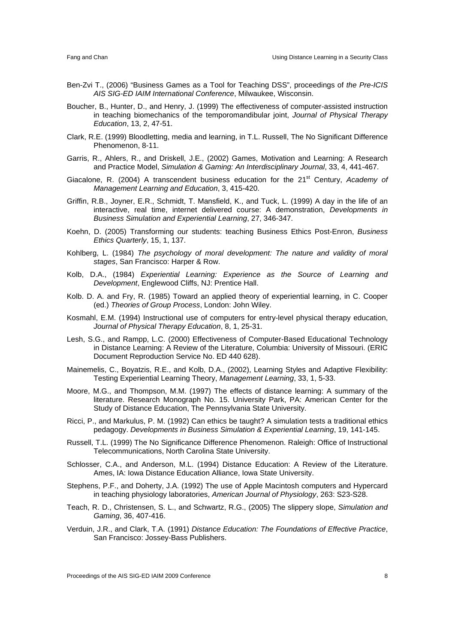- Ben-Zvi T., (2006) "Business Games as a Tool for Teaching DSS", proceedings of *the Pre-ICIS AIS SIG-ED IAIM International Conference*, Milwaukee, Wisconsin.
- Boucher, B., Hunter, D., and Henry, J. (1999) The effectiveness of computer-assisted instruction in teaching biomechanics of the temporomandibular joint, *Journal of Physical Therapy Education*, 13, 2, 47-51.
- Clark, R.E. (1999) Bloodletting, media and learning, in T.L. Russell, The No Significant Difference Phenomenon, 8-11.
- Garris, R., Ahlers, R., and Driskell, J.E., (2002) Games, Motivation and Learning: A Research and Practice Model, *Simulation & Gaming: An Interdisciplinary Journal*, 33, 4, 441-467.
- Giacalone, R. (2004) A transcendent business education for the 21<sup>st</sup> Century, Academy of *Management Learning and Education*, 3, 415-420.
- Griffin, R.B., Joyner, E.R., Schmidt, T. Mansfield, K., and Tuck, L. (1999) A day in the life of an interactive, real time, internet delivered course: A demonstration, *Developments in Business Simulation and Experiential Learning*, 27, 346-347.
- Koehn, D. (2005) Transforming our students: teaching Business Ethics Post-Enron, *Business Ethics Quarterly*, 15, 1, 137.
- Kohlberg, L. (1984) *The psychology of moral development: The nature and validity of moral stages*, San Francisco: Harper & Row.
- Kolb, D.A., (1984) *Experiential Learning: Experience as the Source of Learning and Development*, Englewood Cliffs, NJ: Prentice Hall.
- Kolb. D. A. and Fry, R. (1985) Toward an applied theory of experiential learning, in C. Cooper (ed.) *Theories of Group Process*, London: John Wiley.
- Kosmahl, E.M. (1994) Instructional use of computers for entry-level physical therapy education, *Journal of Physical Therapy Education*, 8, 1, 25-31.
- Lesh, S.G., and Rampp, L.C. (2000) Effectiveness of Computer-Based Educational Technology in Distance Learning: A Review of the Literature, Columbia: University of Missouri. (ERIC Document Reproduction Service No. ED 440 628).
- Mainemelis, C., Boyatzis, R.E., and Kolb, D.A., (2002), Learning Styles and Adaptive Flexibility: Testing Experiential Learning Theory, *Management Learning*, 33, 1, 5-33.
- Moore, M.G., and Thompson, M.M. (1997) The effects of distance learning: A summary of the literature. Research Monograph No. 15. University Park, PA: American Center for the Study of Distance Education, The Pennsylvania State University.
- Ricci, P., and Markulus, P. M. (1992) Can ethics be taught? A simulation tests a traditional ethics pedagogy. *Developments in Business Simulation & Experiential Learning*, 19, 141-145.
- Russell, T.L. (1999) The No Significance Difference Phenomenon. Raleigh: Office of Instructional Telecommunications, North Carolina State University.
- Schlosser, C.A., and Anderson, M.L. (1994) Distance Education: A Review of the Literature. Ames, IA: Iowa Distance Education Alliance, Iowa State University.
- Stephens, P.F., and Doherty, J.A. (1992) The use of Apple Macintosh computers and Hypercard in teaching physiology laboratories, *American Journal of Physiology*, 263: S23-S28.
- Teach, R. D., Christensen, S. L., and Schwartz, R.G., (2005) The slippery slope, *Simulation and Gaming*, 36, 407-416.
- Verduin, J.R., and Clark, T.A. (1991) *Distance Education: The Foundations of Effective Practice*, San Francisco: Jossey-Bass Publishers.